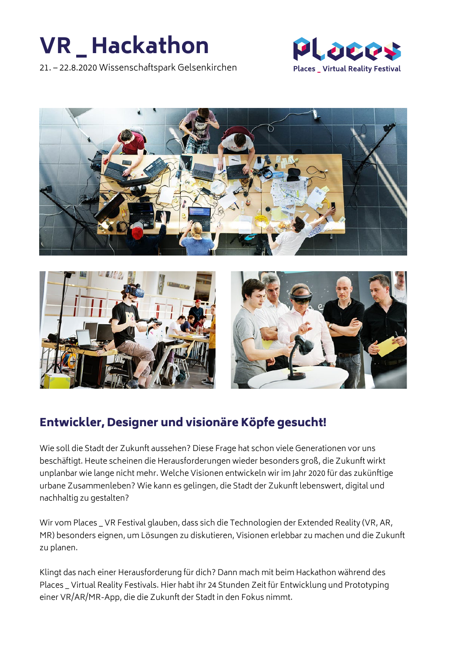# **VR \_ Hackathon**

21. – 22.8.2020 Wissenschaftspark Gelsenkirchen







# Entwickler, Designer und visionäre Köpfe gesucht!

Wie soll die Stadt der Zukunft aussehen? Diese Frage hat schon viele Generationen vor uns beschäftigt. Heute scheinen die Herausforderungen wieder besonders groß, die Zukunft wirkt unplanbar wie lange nicht mehr. Welche Visionen entwickeln wir im Jahr 2020 für das zukünftige urbane Zusammenleben? Wie kann es gelingen, die Stadt der Zukunft lebenswert, digital und nachhaltig zu gestalten?

Wir vom Places \_ VR Festival glauben, dass sich die Technologien der Extended Reality (VR, AR, MR) besonders eignen, um Lösungen zu diskutieren, Visionen erlebbar zu machen und die Zukunft zu planen.

Klingt das nach einer Herausforderung für dich? Dann mach mit beim Hackathon während des Places \_ Virtual Reality Festivals. Hier habt ihr 24 Stunden Zeit für Entwicklung und Prototyping einer VR/AR/MR-App, die die Zukunft der Stadt in den Fokus nimmt.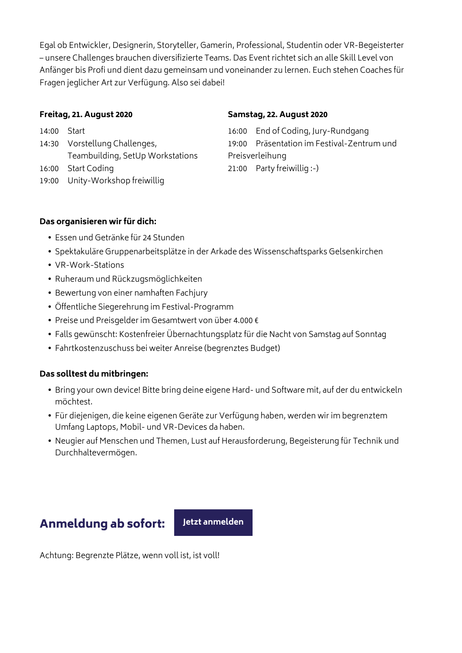Egal ob Entwickler, Designerin, Storyteller, Gamerin, Professional, Studentin oder VR-Begeisterter – unsere Challenges brauchen diversifizierte Teams. Das Event richtet sich an alle Skill Level von Anfänger bis Profi und dient dazu gemeinsam und voneinander zu lernen. Euch stehen Coaches für Fragen jeglicher Art zur Verfügung. Also sei dabei!

### **Freitag, 21. August 2020**

14:00 Start 14:30 Vorstellung Challenges, Teambuilding, SetUp Workstations 16:00 Start Coding 19:00 Unity-Workshop freiwillig

#### **Samstag, 22. August 2020**

16:00 End of Coding, Jury-Rundgang 19:00 Präsentation im Festival-Zentrum und Preisverleihung 21:00 Party freiwillig :-)

# **Das organisieren wir für dich:**

- **•** Essen und Getränke für 24 Stunden
- **•** Spektakuläre Gruppenarbeitsplätze in der Arkade des Wissenschaftsparks Gelsenkirchen
- **•** VR-Work-Stations
- **•** Ruheraum und Rückzugsmöglichkeiten
- **•** Bewertung von einer namhaften Fachjury
- **•** Öffentliche Siegerehrung im Festival-Programm
- **•** Preise und Preisgelder im Gesamtwert von über 4.000 €
- **•** Falls gewünscht: Kostenfreier Übernachtungsplatz für die Nacht von Samstag auf Sonntag
- **•** Fahrtkostenzuschuss bei weiter Anreise (begrenztes Budget)

# **Das solltest du mitbringen:**

- **•** Bring your own device! Bitte bring deine eigene Hard- und Software mit, auf der du entwickeln möchtest.
- **•** Für diejenigen, die keine eigenen Geräte zur Verfügung haben, werden wir im begrenztem Umfang Laptops, Mobil- und VR-Devices da haben.
- **•** Neugier auf Menschen und Themen, Lust auf Herausforderung, Begeisterung für Technik und Durchhaltevermögen.

# Anmeldung ab sofort: **[Jetzt anmelden](https://ueckendorf.typeform.com/to/tnFw83)**

Achtung: Begrenzte Plätze, wenn voll ist, ist voll!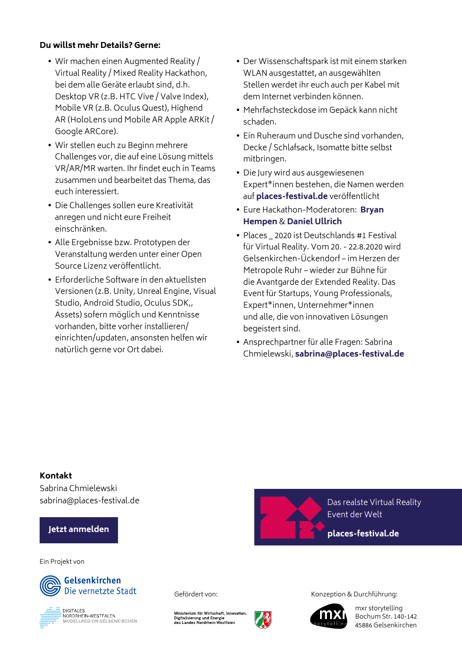# **Du willst mehr Details? Gerne:**

- **•** Wir machen einen Augmented Reality / Virtual Reality / Mixed Reality Hackathon, bei dem alle Geräte erlaubt sind, d.h. Desktop VR (z.B. HTC Vive / Valve Index), Mobile VR (z.B. Oculus Quest), Highend AR (HoloLens und Mobile AR Apple ARKit / Google ARCore).
- **•** Wir stellen euch zu Beginn mehrere Challenges vor, die auf eine Lösung mittels VR/AR/MR warten. Ihr findet euch in Teams zusammen und bearbeitet das Thema, das euch interessiert.
- **•** Die Challenges sollen eure Kreativität anregen und nicht eure Freiheit einschränken.
- **•** Alle Ergebnisse bzw. Prototypen der Veranstaltung werden unter einer Open Source Lizenz veröffentlicht.
- **•** Erforderliche Software in den aktuellsten Versionen (z.B. Unity, Unreal Engine, Visual Studio, Android Studio, Oculus SDK,, Assets) sofern möglich und Kenntnisse vorhanden, bitte vorher installieren/ einrichten/updaten, ansonsten helfen wir natürlich gerne vor Ort dabei.
- **•** Der Wissenschaftspark ist mit einem starken WLAN ausgestattet, an ausgewählten Stellen werdet ihr euch auch per Kabel mit dem Internet verbinden können.
- **•** Mehrfachsteckdose im Gepäck kann nicht schaden.
- **•** Ein Ruheraum und Dusche sind vorhanden, Decke / Schlafsack, Isomatte bitte selbst mitbringen.
- **•** Die Jury wird aus ausgewiesenen Expert\*innen bestehen, die Namen werden auf **[places-festival.de](http://places-festival.de)** veröffentlicht
- **•** Eure Hackathon-Moderatoren: **[Bryan](mailto:%20mail%40bryanhempen.com?subject=)  [Hempen](mailto:%20mail%40bryanhempen.com?subject=)** & **[Daniel Ullrich](https://www.linkedin.com/in/daniel-ullrich-26a9b6a1/)**
- **•** Places \_ 2020 ist Deutschlands #1 Festival für Virtual Reality. Vom 20. - 22.8.2020 wird Gelsenkirchen-Ückendorf – im Herzen der Metropole Ruhr – wieder zur Bühne für die Avantgarde der Extended Reality. Das Event für Startups, Young Professionals, Expert\*innen, Unternehmer\*innen und alle, die von innovativen Lösungen begeistert sind.
- **•** Ansprechpartner für alle Fragen: Sabrina Chmielewski, **sabrina[@places-festival.de](mailto:sabrina%40places-festival.de?subject=)**

#### **Kontakt**

Sabrina Chmielewski sabrina@places-festival.de Das realste Virtual Reality

# **[Jetzt anmelden](https://ueckendorf.typeform.com/to/tnFw83)**

#### Ein Projekt von





Ministerium für Wirtschaft, Innovation<br>Digitalisierung und Energie<br>des Landes Nordrhein-Westfalen



Gefördert von: Vonzeption & Durchführung:

Event der Welt

**[places-festival.de](http://places-festival.de)**



mxr storytelling [Bochum Str. 140-142](http://mxr-storytelling.de/) 45886 Gelsenkirchen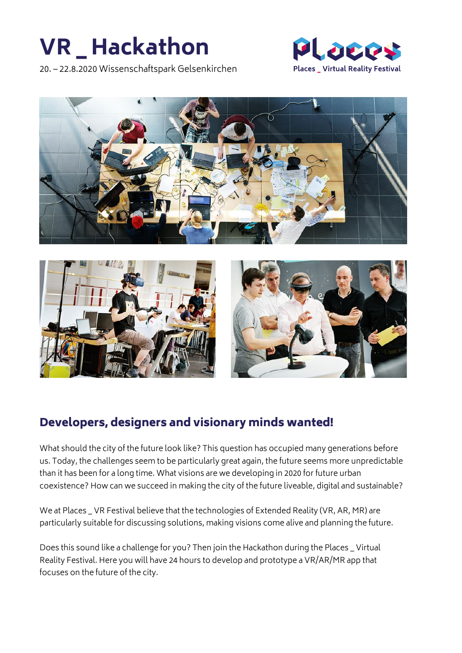# **VR \_ Hackathon**

20. – 22.8.2020 Wissenschaftspark Gelsenkirchen







# Developers, designers and visionary minds wanted!

What should the city of the future look like? This question has occupied many generations before us. Today, the challenges seem to be particularly great again, the future seems more unpredictable than it has been for a long time. What visions are we developing in 2020 for future urban coexistence? How can we succeed in making the city of the future liveable, digital and sustainable?

We at Places \_ VR Festival believe that the technologies of Extended Reality (VR, AR, MR) are particularly suitable for discussing solutions, making visions come alive and planning the future.

Does this sound like a challenge for you? Then join the Hackathon during the Places \_ Virtual Reality Festival. Here you will have 24 hours to develop and prototype a VR/AR/MR app that focuses on the future of the city.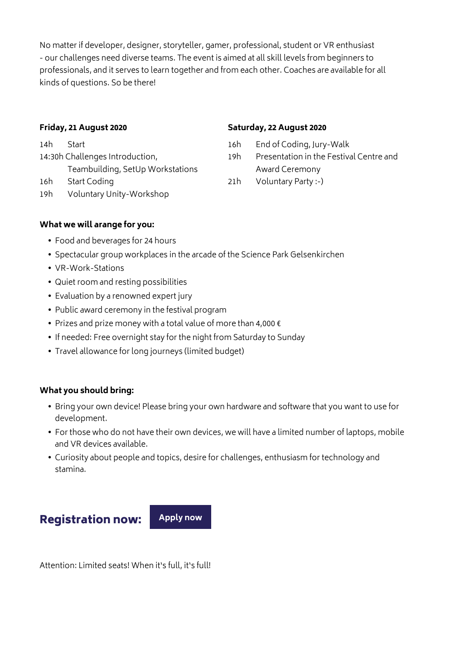No matter if developer, designer, storyteller, gamer, professional, student or VR enthusiast - our challenges need diverse teams. The event is aimed at all skill levels from beginners to professionals, and it serves to learn together and from each other. Coaches are available for all kinds of questions. So be there!

### **Friday, 21 August 2020**

14h Start 14:30h Challenges Introduction, Teambuilding, SetUp Workstations 16h Start Coding

19h Voluntary Unity-Workshop

#### **Saturday, 22 August 2020**

- 16h End of Coding, Jury-Walk
- 19h Presentation in the Festival Centre and Award Ceremony
- 21h Voluntary Party :-)

# **What we will arange for you:**

- **•** Food and beverages for 24 hours
- **•** Spectacular group workplaces in the arcade of the Science Park Gelsenkirchen
- **•** VR-Work-Stations
- **•** Quiet room and resting possibilities
- **•** Evaluation by a renowned expert jury
- **•** Public award ceremony in the festival program
- **•** Prizes and prize money with a total value of more than 4,000 €
- **•** If needed: Free overnight stay for the night from Saturday to Sunday
- **•** Travel allowance for long journeys (limited budget)

# **What you should bring:**

- **•** Bring your own device! Please bring your own hardware and software that you want to use for development.
- **•** For those who do not have their own devices, we will have a limited number of laptops, mobile and VR devices available.
- **•** Curiosity about people and topics, desire for challenges, enthusiasm for technology and stamina.

# Registration now: **[Apply now](https://ueckendorf.typeform.com/to/yGuPYp)**

Attention: Limited seats! When it's full, it's full!